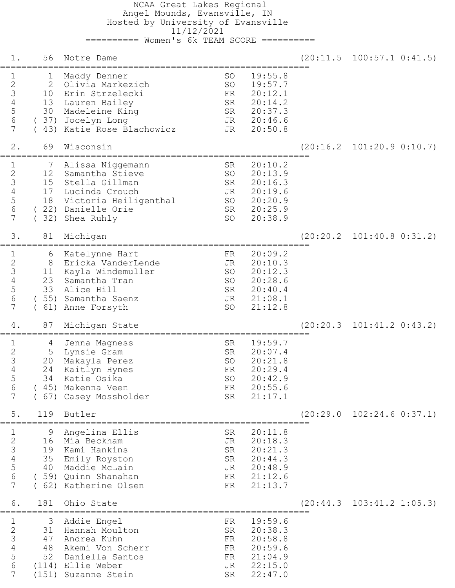NCAA Great Lakes Regional Angel Mounds, Evansville, IN Hosted by University of Evansville 11/12/2021 ========== Women's 6k TEAM SCORE ==========

 1. 56 Notre Dame (20:11.5 100:57.1 0:41.5) ========================================================== 1 1 Maddy Denner 50 SO 19:55.8 2 2 Olivia Markezich SO 19:57.7 3 10 Erin Strzelecki FR 20:12.1 4 13 Lauren Bailey SR 20:14.2 5 30 Madeleine King SR 20:37.3 6 ( 37) Jocelyn Long JR 20:46.6 7 ( 43) Katie Rose Blachowicz JR 20:50.8 2. 69 Wisconsin (20:16.2 101:20.9 0:10.7) ========================================================== 1 7 Alissa Niggemann SR 20:10.2 2 12 Samantha Stieve SO 20:13.9 3 15 Stella Gillman SR 20:16.3 4 17 Lucinda Crouch JR 20:19.6 5 18 Victoria Heiligenthal SO 20:20.9 6 ( 22) Danielle Orie SR 20:25.9 7 (32) Shea Ruhly SO 20:38.9 3. 81 Michigan (20:20.2 101:40.8 0:31.2) ========================================================== 1 6 Katelynne Hart FR 20:09.2 2 8 Ericka VanderLende JR 20:10.3 3 11 Kayla Windemuller SO 20:12.3 4 23 Samantha Tran 50 SO 20:28.6 5 33 Alice Hill SR 20:40.4 6 ( 55) Samantha Saenz JR 21:08.1 7 ( 61) Anne Forsyth SO 21:12.8 4. 87 Michigan State (20:20.3 101:41.2 0:43.2) ========================================================== 1 4 Jenna Magness SR 19:59.7 2 5 Lynsie Gram SR 20:07.4 3 20 Makayla Perez SO 20:21.8 4 24 Kaitlyn Hynes FR 20:29.4 5 34 Katie Osika SO 20:42.9 6 ( 45) Makenna Veen FR 20:55.6 7 ( 67) Casey Mossholder SR 21:17.1 5. 119 Butler (20:29.0 102:24.6 0:37.1) ========================================================== 1 9 Angelina Ellis SR 20:11.8 2 16 Mia Beckham JR 20:18.3 3 19 Kami Hankins SR 20:21.3 4 35 Emily Royston SR 20:44.3 5 40 Maddie McLain JR 20:48.9 6 ( 59) Quinn Shanahan FR 21:12.6 7 ( 62) Katherine Olsen FR 21:13.7 6. 181 Ohio State (20:44.3 103:41.2 1:05.3) ========================================================== 1 3 Addie Engel FR 19:59.6 2 31 Hannah Moulton SR 20:38.3 3 47 Andrea Kuhn FR 20:58.8 4 48 Akemi Von Scherr FR 20:59.6 5 52 Daniella Santos FR 21:04.9 6 (114) Ellie Weber JR 22:15.0 7 (151) Suzanne Stein SR 22:47.0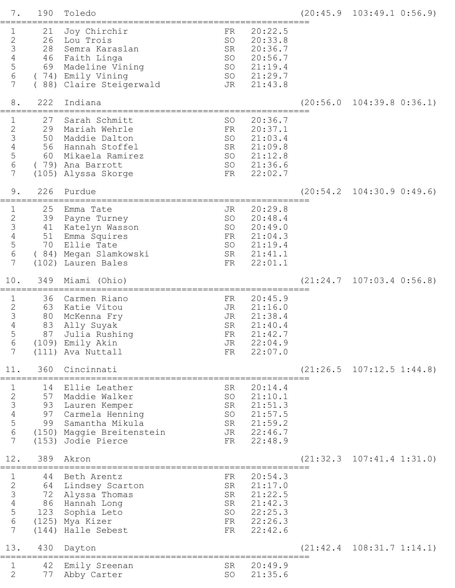| $7$ .                                                                   | 190                        | Toledo                                                                                                                                            |                                         |                                                                           |           | $(20:45.9 \quad 103:49.1 \quad 0:56.9)$ |
|-------------------------------------------------------------------------|----------------------------|---------------------------------------------------------------------------------------------------------------------------------------------------|-----------------------------------------|---------------------------------------------------------------------------|-----------|-----------------------------------------|
| 23456<br>$7\phantom{.0}$                                                | 21<br>26<br>28<br>69       | Joy Chirchir<br>Lou Trois<br>Semra Karaslan<br>46 Faith Linga<br>Madeline Vining<br>(74) Emily Vining<br>(88) Claire Steigerwald                  | FR.<br>SO<br>SR<br>SO<br>SO<br>SO<br>JR | 20:22.5<br>20:33.8<br>20:36.7<br>20:56.7<br>21:19.4<br>21:29.7<br>21:43.8 |           |                                         |
| 8.                                                                      | 222                        | Indiana                                                                                                                                           |                                         |                                                                           | (20:56.0  | $104:39.8$ $0:36.1$                     |
| 1<br>23456<br>7                                                         | 27<br>29<br>50<br>56<br>60 | Sarah Schmitt<br>Mariah Wehrle<br>Maddie Dalton<br>Hannah Stoffel<br>Mikaela Ramirez<br>(79) Ana Barrott<br>(105) Alyssa Skorge                   | SO<br>FR<br>SO<br>SR<br>SO<br>SO<br>FR  | 20:36.7<br>20:37.1<br>21:03.4<br>21:09.8<br>21:12.8<br>21:36.6<br>22:02.7 |           |                                         |
| 9.                                                                      | 226                        | Purdue                                                                                                                                            |                                         |                                                                           | (20:54.2) | $104:30.9$ $0:49.6$                     |
| 1<br>23456<br>7                                                         | 25<br>39<br>41<br>51<br>70 | Emma Tate<br>Payne Turney<br>Katelyn Wasson<br>Emma Squires<br>Ellie Tate<br>(84) Megan Slamkowski<br>(102) Lauren Bales                          | JR<br>SO<br>SO<br>FR<br>SO<br>SR<br>FR  | 20:29.8<br>20:48.4<br>20:49.0<br>21:04.3<br>21:19.4<br>21:41.1<br>22:01.1 |           |                                         |
| 10.                                                                     | 349                        | Miami (Ohio)                                                                                                                                      |                                         |                                                                           | (21:24.7  | $107:03.4$ $0:56.8$                     |
| 1<br>$\begin{array}{c} 2 \\ 3 \\ 4 \end{array}$<br>5<br>$\sqrt{6}$<br>7 | 36<br>63<br>80<br>83<br>87 | Carmen Riano<br>Katie Vitou<br>McKenna Fry<br>Ally Suyak<br>Julia Rushing<br>(109) Emily Akin<br>(111) Ava Nuttall                                | FR<br>JR<br>JR<br>SR<br>FR<br>JR<br>FR  | 20:45.9<br>21:16.0<br>21:38.4<br>21:40.4<br>21:42.7<br>22:04.9<br>22:07.0 |           |                                         |
| 11.                                                                     | 360                        | Cincinnati                                                                                                                                        |                                         |                                                                           |           | $(21:26.5 \t107:12.5 \t1:44.8)$         |
| $\mathbf 1$<br>23456<br>$7\overline{ }$                                 | 14<br>57                   | Ellie Leather<br>Maddie Walker<br>93 Lauren Kemper<br>97 Carmela Henning<br>99 Samantha Mikula<br>(150) Maggie Breitenstein<br>(153) Jodie Pierce | SR<br>SO<br>SR<br>SO<br>SR<br>JR<br>FR  | 20:14.4<br>21:10.1<br>21:51.3<br>21:57.5<br>21:59.2<br>22:46.7<br>22:48.9 |           |                                         |
| 12.                                                                     | 389                        | Akron                                                                                                                                             |                                         |                                                                           |           | $(21:32.3 \quad 107:41.4 \quad 1:31.0)$ |
| $\mathbf 1$<br>23456<br>7                                               | 44                         | Beth Arentz<br>64 Lindsey Scarton<br>72 Alyssa Thomas<br>86 Hannah Long<br>123 Sophia Leto<br>(125) Mya Kizer<br>(144) Halle Sebest               | FR<br>SR<br>SR<br>SR<br>SO<br>FR<br>FR  | 20:54.3<br>21:17.0<br>21:22.5<br>21:42.3<br>22:25.3<br>22:26.3<br>22:42.6 |           |                                         |
| 13.                                                                     | 430                        | Dayton                                                                                                                                            |                                         |                                                                           |           | $(21:42.4 \quad 108:31.7 \quad 1:14.1)$ |
| 1<br>$\overline{2}$                                                     | 42<br>77                   | Emily Sreenan<br>Abby Carter                                                                                                                      | SR<br>SO                                | 20:49.9<br>21:35.6                                                        |           |                                         |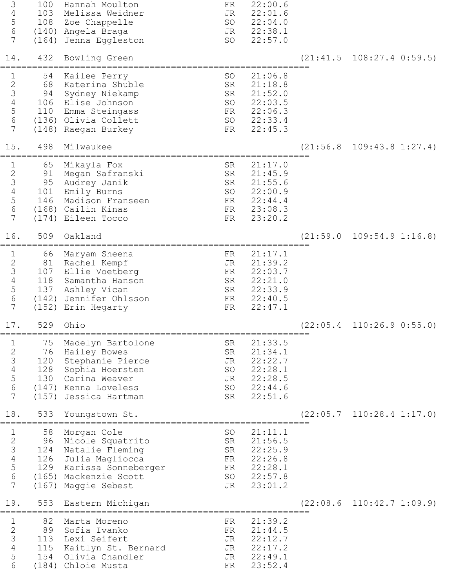| 3<br>$\overline{4}$<br>5<br>6<br>7<br>14.<br>$\mathbf 1$<br>$\frac{2}{3}$ | 100<br>103<br>108<br>432<br>54<br>68          | Hannah Moulton<br>Melissa Weidner<br>Zoe Chappelle<br>(140) Angela Braga<br>(164) Jenna Eggleston<br>Bowling Green<br>Kailee Perry<br>Katerina Shuble            | FR<br>JR<br>SO<br>JR<br>SO<br>SO<br>SR | 22:00.6<br>22:01.6<br>22:04.0<br>22:38.1<br>22:57.0<br>21:06.8<br>21:18.8 | (21:41.5  | $108:27.4$ $0:59.5$                     |
|---------------------------------------------------------------------------|-----------------------------------------------|------------------------------------------------------------------------------------------------------------------------------------------------------------------|----------------------------------------|---------------------------------------------------------------------------|-----------|-----------------------------------------|
| $\overline{4}$<br>5<br>$6\,$<br>7<br>15.                                  | 94<br>106<br>110<br>498                       | Sydney Niekamp<br>Elise Johnson<br>Emma Steingass<br>(136) Olivia Collett<br>(148) Raegan Burkey<br>Milwaukee                                                    | SR<br>SO<br>FR<br>SO<br>FR             | 21:52.0<br>22:03.5<br>22:06.3<br>22:33.4<br>22:45.3                       | (21:56.8) | $109:43.8$ $1:27.4$                     |
| 1<br>$\frac{2}{3}$<br>$\overline{4}$<br>5<br>6<br>7                       | 65<br>91<br>95<br>101<br>146                  | Mikayla Fox<br>Megan Safranski<br>Audrey Janik<br>Emily Burns<br>Madison Franseen<br>(168) Cailin Kinas<br>(174) Eileen Tocco                                    | SR<br>SR<br>SR<br>SO<br>FR<br>FR<br>FR | 21:17.0<br>21:45.9<br>21:55.6<br>22:00.9<br>22:44.4<br>23:08.3<br>23:20.2 |           |                                         |
| 16.<br>1<br>$\frac{2}{3}$<br>$\overline{4}$<br>5<br>6<br>7                | 509<br>66<br>81<br>107<br>118<br>137          | Oakland<br>Maryam Sheena<br>Rachel Kempf<br>Ellie Voetberg<br>Samantha Hanson<br>Ashley Vican<br>(142) Jennifer Ohlsson<br>(152) Erin Hegarty                    | FR<br>JR<br>FR<br>SR<br>SR<br>FR<br>FR | 21:17.1<br>21:39.2<br>22:03.7<br>22:21.0<br>22:33.9<br>22:40.5<br>22:47.1 | (21:59.0  | $109:54.9$ $1:16.8$                     |
| 17.<br>$\mathbf 1$<br>23456<br>$\overline{7}$                             | 529<br>75<br>76<br>120<br>128<br>130<br>(157) | Ohio<br>Madelyn Bartolone<br>Hailey Bowes<br>Stephanie Pierce<br>Sophia Hoersten<br>Carina Weaver<br>(147) Kenna Loveless<br>Jessica Hartman                     | SR<br>SR<br>JR<br>SO<br>JR<br>SO<br>SR | 21:33.5<br>21:34.1<br>22:22.7<br>22:28.1<br>22:28.5<br>22:44.6<br>22:51.6 |           | $(22:05.4 \quad 110:26.9 \quad 0:55.0)$ |
| 18.<br>$\mathbf{1}$<br>23456<br>$\overline{7}$                            | 533<br>58<br>96<br>124<br>(167)               | Youngstown St.<br>Morgan Cole<br>Nicole Squatrito<br>Natalie Fleming<br>126 Julia Magliocca<br>129 Karissa Sonneberger<br>(165) Mackenzie Scott<br>Maggie Sebest | SO<br>SR<br>SR<br>FR<br>FR<br>SO<br>JR | 21:11.1<br>21:56.5<br>22:25.9<br>22:26.8<br>22:28.1<br>22:57.8<br>23:01.2 | (22:05.7) | $110:28.4$ $1:17.0$                     |
| 19.<br>$\mathbf{1}$<br>$\frac{2}{3}$<br>$\overline{4}$<br>5<br>6          | 553<br>82<br>89<br>113<br>115<br>154          | Eastern Michigan<br>Marta Moreno<br>Sofia Ivanko<br>Lexi Seifert<br>Kaitlyn St. Bernard<br>Olivia Chandler<br>(184) Chloie Musta                                 | FR<br>FR<br>JR<br>JR<br>JR<br>FR       | 21:39.2<br>21:44.5<br>22:12.7<br>22:17.2<br>22:49.1<br>23:52.4            | (22:08.6) | 110:42.7 1:09.9                         |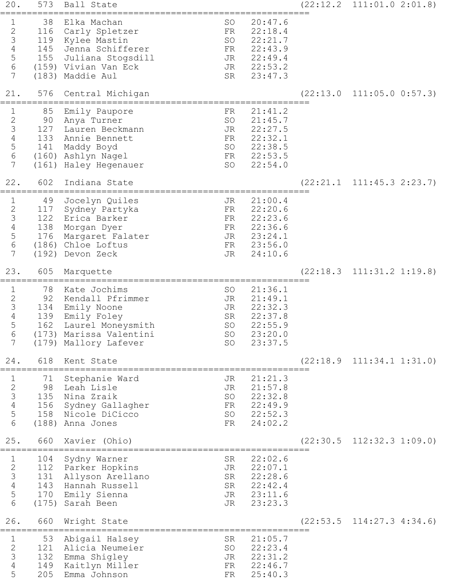| 20.                                                                                 | 573                            | Ball State                                                                                                                                      |                                        |                                                                           | $(22:12.2 \quad 111:01.0 \quad 2:01.8)$ |
|-------------------------------------------------------------------------------------|--------------------------------|-------------------------------------------------------------------------------------------------------------------------------------------------|----------------------------------------|---------------------------------------------------------------------------|-----------------------------------------|
| 1<br>$\sqrt{2}$<br>$\mathcal{S}$<br>$\sqrt{4}$<br>$\overline{5}$<br>$\sqrt{6}$<br>7 | 38<br>116                      | Elka Machan<br>Carly Spletzer<br>119 Kylee Mastin<br>145 Jenna Schifferer<br>155 Juliana Stogsdill<br>(159) Vivian Van Eck<br>(183) Maddie Aul  | SO<br>FR<br>SO<br>FR<br>JR<br>JR<br>SR | 20:47.6<br>22:18.4<br>22:21.7<br>22:43.9<br>22:49.4<br>22:53.2<br>23:47.3 |                                         |
| 21.                                                                                 | 576                            | Central Michigan<br>===========================                                                                                                 |                                        |                                                                           | $(22:13.0 \quad 111:05.0 \quad 0:57.3)$ |
| 1<br>$\begin{array}{c} 2 \\ 3 \\ 4 \end{array}$<br>$\frac{5}{6}$<br>7               | 85<br>90<br>133<br>141         | Emily Paupore<br>Anya Turner<br>127 Lauren Beckmann<br>Annie Bennett<br>Maddy Boyd<br>(160) Ashlyn Nagel<br>(161) Haley Hegenauer               | FR<br>SO<br>JR<br>FR<br>SO<br>FR<br>SO | 21:41.2<br>21:45.7<br>22:27.5<br>22:32.1<br>22:38.5<br>22:53.5<br>22:54.0 |                                         |
| 22.                                                                                 | 602                            | Indiana State<br>=================================                                                                                              |                                        |                                                                           | $(22:21.1 \quad 111:45.3 \quad 2:23.7)$ |
| $\mathbf 1$<br>$\sqrt{2}$<br>$\frac{3}{4}$<br>$\mathsf S$<br>$\epsilon$<br>7        | 49<br>117<br>122<br>138<br>176 | Jocelyn Quiles<br>Sydney Partyka<br>Erica Barker<br>Morgan Dyer<br>Margaret Falater<br>(186) Chloe Loftus<br>(192) Devon Zeck                   | JR<br>FR<br>FR<br>FR<br>JR<br>FR<br>JR | 21:00.4<br>22:20.6<br>22:23.6<br>22:36.6<br>23:24.1<br>23:56.0<br>24:10.6 |                                         |
| 23.                                                                                 | 605                            | Marquette                                                                                                                                       |                                        |                                                                           | $(22:18.3 \quad 111:31.2 \quad 1:19.8)$ |
| $\mathbf 1$<br>$\sqrt{2}$<br>$\frac{3}{4}$<br>$\mathsf S$<br>6<br>7                 | 78<br>92<br>162                | Kate Jochims<br>Kendall Pfrimmer<br>134 Emily Noone<br>139 Emily Foley<br>Laurel Moneysmith<br>(173) Marissa Valentini<br>(179) Mallory Lafever | SO<br>JR<br>JR<br>SR<br>SO<br>SO<br>SO | 21:36.1<br>21:49.1<br>22:32.3<br>22:37.8<br>22:55.9<br>23:20.0<br>23:37.5 |                                         |
| 24.                                                                                 | 618                            | Kent State                                                                                                                                      |                                        |                                                                           | $(22:18.9 \quad 111:34.1 \quad 1:31.0)$ |
| 1<br>23456                                                                          | 71<br>98                       | Stephanie Ward<br>Leah Lisle<br>135 Nina Zraik<br>156 Sydney Gallagher<br>158 Nicole DiCicco<br>(188) Anna Jones                                | JR<br>JR<br>SO<br>FR<br>FR             | 21:21.3<br>21:57.8<br>22:32.8<br>22:49.9<br>SO 22:52.3<br>24:02.2         |                                         |
| 25.                                                                                 | 660                            | Xavier (Ohio)                                                                                                                                   |                                        |                                                                           | $(22:30.5 \quad 112:32.3 \quad 1:09.0)$ |
| 1<br>$\begin{array}{c} 2 \\ 3 \\ 4 \end{array}$<br>$\frac{5}{6}$                    | 104                            | Sydny Warner<br>112 Parker Hopkins<br>131 Allyson Arellano<br>143 Hannah Russell<br>170 Emily Sienna<br>(175) Sarah Been                        | SR<br>JR<br>JR                         | 22:02.6<br>22:07.1<br>SR 22:28.6<br>SR 22:42.4<br>JR 23:11.6<br>23:23.3   |                                         |
| 26.                                                                                 | 660                            | Wright State                                                                                                                                    |                                        |                                                                           | $(22:53.5 \quad 114:27.3 \quad 4:34.6)$ |
| $\mathbf 1$<br>$\begin{array}{c} 2 \\ 3 \\ 4 \end{array}$<br>5                      | 53<br>121<br>205               | Abigail Halsey<br>Alicia Neumeier<br>132 Emma Shigley<br>149 Kaitlyn Miller<br>Emma Johnson                                                     | SR<br>SO<br>JR<br>FR<br>FR             | 21:05.7<br>22:23.4<br>22:31.2<br>22:46.7<br>25:40.3                       |                                         |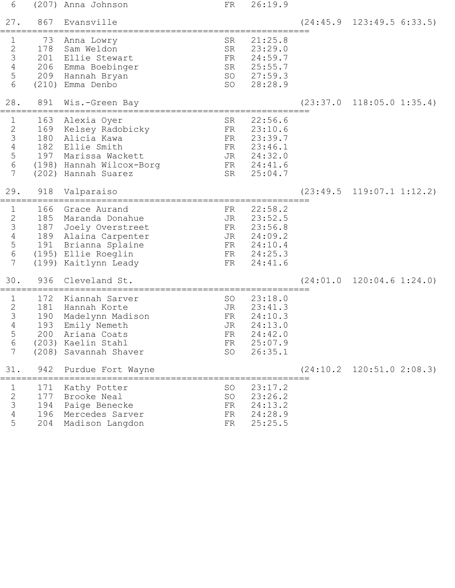| 6                                                               |                                 | (207) Anna Johnson                                                                                                                                        | FR                                     | 26:19.9                                                                               |                                         |
|-----------------------------------------------------------------|---------------------------------|-----------------------------------------------------------------------------------------------------------------------------------------------------------|----------------------------------------|---------------------------------------------------------------------------------------|-----------------------------------------|
| 27.                                                             | 867                             | Evansville                                                                                                                                                |                                        |                                                                                       | $(24:45.9 \quad 123:49.5 \quad 6:33.5)$ |
| 1<br>$\begin{array}{c}\n2 \\ 3 \\ 4 \\ 5\n\end{array}$<br>$6\,$ | 73<br>178                       | Anna Lowry<br>Sam Weldon<br>201 Ellie Stewart<br>206 Emma Boebinger<br>209 Hannah Bryan<br>(210) Emma Denbo                                               | SR<br>SR<br>FR<br>SO                   | 21:25.8<br>23:29.0<br>24:59.7<br>SR 25:55.7<br>SO 27:59.3<br>28:28.9                  |                                         |
| 28.                                                             | 891                             | Wis.-Green Bay                                                                                                                                            |                                        |                                                                                       | $(23:37.0 \quad 118:05.0 \quad 1:35.4)$ |
| 1<br>2 3 4 5 6<br>$\overline{7}$                                | 163<br>180<br>182               | Alexia Oyer<br>169 Kelsey Radobicky<br>Alicia Kawa<br>Ellie Smith<br>197 Marissa Wackett<br>(198) Hannah Wilcox-Borg<br>(202) Hannah Suarez               | SR<br>FR<br>FR<br>SR                   | 22:56.6<br>23:10.6<br>23:39.7<br>FR 23:46.1<br>JR 24:32.0<br>FR 24:41.6<br>25:04.7    |                                         |
| 29.                                                             | 918                             | Valparaiso                                                                                                                                                |                                        |                                                                                       | $(23:49.5 \quad 119:07.1 \quad 1:12.2)$ |
| $\mathbf 1$<br>2 3 4 5 6<br>$7\phantom{.}$                      | 166                             | Grace Aurand<br>185 Maranda Donahue<br>187 Joely Overstreet<br>189 Alaina Carpenter<br>191 Brianna Splaine<br>(195) Ellie Roeglin<br>(199) Kaitlynn Leady | FR<br>JR<br>FR                         | 22:58.2<br>23:52.5<br>FR 23:56.8<br>JR 24:09.2<br>FR 24:10.4<br>FR 24:25.3<br>24:41.6 |                                         |
| 30.                                                             | 936                             | Cleveland St.                                                                                                                                             |                                        |                                                                                       | $(24:01.0 \quad 120:04.6 \quad 1:24.0)$ |
| $\mathbf 1$<br>$\frac{2}{3}$<br>$\overline{4}$<br>5<br>6<br>7   | 172<br>181<br>190<br>193<br>200 | Kiannah Sarver<br>Hannah Korte<br>Madelynn Madison<br>Emily Nemeth<br>Ariana Coats<br>(203) Kaelin Stahl<br>(208) Savannah Shaver                         | SO<br>JR<br>FR<br>JR<br>FR<br>FR<br>SO | 23:18.0<br>23:41.3<br>24:10.3<br>24:13.0<br>24:42.0<br>25:07.9<br>26:35.1             |                                         |
| 31.                                                             | 942                             | Purdue Fort Wayne                                                                                                                                         |                                        |                                                                                       | $(24:10.2 \quad 120:51.0 \quad 2:08.3)$ |
| 1<br>$\frac{2}{3}$<br>$\sqrt{4}$<br>5                           | 171<br>177<br>194<br>196<br>204 | Kathy Potter<br>Brooke Neal<br>Paige Benecke<br>Mercedes Sarver<br>Madison Langdon                                                                        | SO<br>SO<br>FR<br>FR<br>FR             | 23:17.2<br>23:26.2<br>24:13.2<br>24:28.9<br>25:25.5                                   |                                         |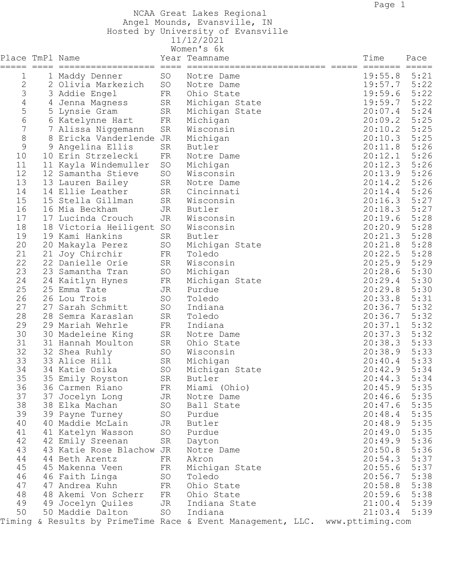NCAA Great Lakes Regional

Angel Mounds, Evansville, IN

 Hosted by University of Evansville 11/12/2021

|                 |                          |    | Women's 6k                                                                   |                |      |
|-----------------|--------------------------|----|------------------------------------------------------------------------------|----------------|------|
| Place TmPl Name |                          |    | Year Teamname                                                                | Time           | Pace |
| ===== ===       |                          |    | ==========================                                                   | ======= =====  |      |
| 1               | 1 Maddy Denner           | SO | Notre Dame                                                                   | 19:55.8        | 5:21 |
| 2               | 2 Olivia Markezich       | SO | Notre Dame                                                                   | 19:57.7        | 5:22 |
| 3               | 3 Addie Engel            | FR | Ohio State                                                                   | 19:59.6        | 5:22 |
| 4               | 4 Jenna Magness          | SR | Michigan State                                                               | 19:59.7        | 5:22 |
| 5               | 5 Lynsie Gram            | SR | Michigan State                                                               | 20:07.4        | 5:24 |
| 6               | 6 Katelynne Hart         | FR | Michigan                                                                     | 20:09.2        | 5:25 |
| 7               | 7 Alissa Niggemann       | SR | Wisconsin                                                                    | 20:10.2        | 5:25 |
| 8               | 8 Ericka Vanderlende JR  |    | Michigan                                                                     | 20:10.3        | 5:25 |
| 9               | 9 Angelina Ellis         | SR | Butler                                                                       | 20:11.8        | 5:26 |
| 10              | 10 Erin Strzelecki       | FR | Notre Dame                                                                   | 20:12.1        | 5:26 |
| 11              | 11 Kayla Windemuller     | SO | Michigan                                                                     | 20:12.3        | 5:26 |
| 12              | 12 Samantha Stieve       | SO | Wisconsin                                                                    | 20:13.9        | 5:26 |
| 13              | 13 Lauren Bailey         | SR | Notre Dame                                                                   | 20:14.2        | 5:26 |
| 14              | 14 Ellie Leather         | SR | Cincinnati                                                                   | 20:14.4        | 5:26 |
| 15              | 15 Stella Gillman        | SR | Wisconsin                                                                    | 20:16.3        | 5:27 |
| 16              | 16 Mia Beckham           | JR | Butler                                                                       | 20:18.3        | 5:27 |
| 17              | 17 Lucinda Crouch        | JR | Wisconsin                                                                    | 20:19.6        | 5:28 |
| 18              | 18 Victoria Heiligent SO |    | Wisconsin                                                                    | 20:20.9        | 5:28 |
| 19              | 19 Kami Hankins          | SR | Butler                                                                       | 20:21.3        | 5:28 |
| 20              | 20 Makayla Perez         | SO | Michigan State                                                               | 20:21.8        | 5:28 |
| 21              | 21 Joy Chirchir          | FR | Toledo                                                                       | 20:22.5        | 5:28 |
| 22              | 22 Danielle Orie         | SR | Wisconsin                                                                    | 20:25.9        | 5:29 |
| 23              | 23 Samantha Tran         | SO | Michigan                                                                     | 20:28.6        | 5:30 |
| 24              | 24 Kaitlyn Hynes         | FR | Michigan State                                                               | 20:29.4        | 5:30 |
| 25              | 25 Emma Tate             | JR | Purdue                                                                       | 20:29.8        | 5:30 |
| 26              | 26 Lou Trois             | SO | Toledo                                                                       | 20:33.8        | 5:31 |
| 27              | 27 Sarah Schmitt         | SO | Indiana                                                                      | 20:36.7        | 5:32 |
| 28              | 28 Semra Karaslan        | SR | Toledo                                                                       | 20:36.7        | 5:32 |
| 29              | 29 Mariah Wehrle         | FR | Indiana                                                                      | 20:37.1        | 5:32 |
| 30              | 30 Madeleine King        | SR | Notre Dame                                                                   | 20:37.3        | 5:32 |
| 31              | 31 Hannah Moulton        | SR | Ohio State                                                                   | 20:38.3        | 5:33 |
| 32              | 32 Shea Ruhly            | SO | Wisconsin                                                                    | 20:38.9        | 5:33 |
| 33              | 33 Alice Hill            | SR | Michigan                                                                     | 20:40.4        | 5:33 |
| 34              | 34 Katie Osika           | SO | Michigan State                                                               | 20:42.9        | 5:34 |
| 35              | 35 Emily Royston         | SR | Butler                                                                       | $20:44.3$ 5:34 |      |
| 36              | 36 Carmen Riano          | FR | Miami (Ohio)                                                                 | $20:45.9$ 5:35 |      |
| 37              | 37 Jocelyn Long          | JR | Notre Dame                                                                   | $20:46.6$ 5:35 |      |
| 38              | 38 Elka Machan           | SO | Ball State                                                                   | $20:47.6$ 5:35 |      |
| 39              | 39 Payne Turney          | SO | Purdue                                                                       | 20:48.4        | 5:35 |
| 40              | 40 Maddie McLain         | JR | Butler                                                                       | 20:48.9 5:35   |      |
| 41              | 41 Katelyn Wasson        | SO | Purdue                                                                       | 20:49.0        | 5:35 |
| 42              | 42 Emily Sreenan         | SR | Dayton                                                                       | 20:49.9        | 5:36 |
| 43              | 43 Katie Rose Blachow JR |    | Notre Dame                                                                   | 20:50.8        | 5:36 |
| 44              | 44 Beth Arentz           | FR | Akron                                                                        | 20:54.3        | 5:37 |
| 45              | 45 Makenna Veen          | FR | Michigan State                                                               | 20:55.6        | 5:37 |
| 46              | 46 Faith Linga           | SO | Toledo                                                                       | 20:56.7        | 5:38 |
| 47              | 47 Andrea Kuhn           | FR | Ohio State                                                                   | 20:58.8 5:38   |      |
| 48              | 48 Akemi Von Scherr      | FR | Ohio State                                                                   | 20:59.6        | 5:38 |
| 49              | 49 Jocelyn Quiles        | JR | Indiana State                                                                | $21:00.4$ 5:39 |      |
| 50              | 50 Maddie Dalton         | SO | Indiana                                                                      | 21:03.4        | 5:39 |
|                 |                          |    | Timing & Results by PrimeTime Race & Event Management, LLC. www.pttiming.com |                |      |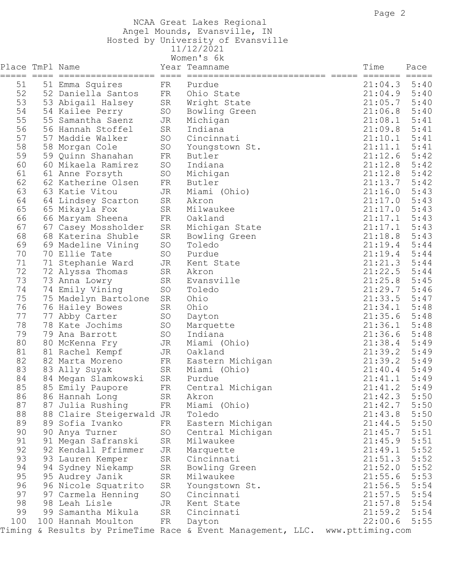## NCAA Great Lakes Regional Angel Mounds, Evansville, IN

 Hosted by University of Evansville 11/12/2021

|                               |                       |    | Women's 6k                                                  |                  |                 |
|-------------------------------|-----------------------|----|-------------------------------------------------------------|------------------|-----------------|
| Place TmPl Name<br>===== ==== |                       |    | Year Teamname<br>==========================                 | Time<br>=======  | Pace<br>$=====$ |
| 51                            | 51 Emma Squires       | FR | Purdue                                                      | 21:04.3          | 5:40            |
| 52                            | 52 Daniella Santos    | FR | Ohio State                                                  | 21:04.9          | 5:40            |
| 53                            | 53 Abigail Halsey     | SR | Wright State                                                | 21:05.7          | 5:40            |
| 54                            | 54 Kailee Perry       | SO | Bowling Green                                               | 21:06.8          | 5:40            |
| 55                            | 55 Samantha Saenz     | JR | Michigan                                                    | 21:08.1          | 5:41            |
| 56                            | 56 Hannah Stoffel     | SR | Indiana                                                     | 21:09.8          | 5:41            |
| 57                            | 57 Maddie Walker      | SO | Cincinnati                                                  | 21:10.1          | 5:41            |
| 58                            | 58 Morgan Cole        | SO | Youngstown St.                                              | 21:11.1          | 5:41            |
| 59                            | 59 Quinn Shanahan     | FR | Butler                                                      | 21:12.6          | 5:42            |
| 60                            | 60 Mikaela Ramirez    | SO | Indiana                                                     | 21:12.8          | 5:42            |
| 61                            |                       |    |                                                             |                  | 5:42            |
|                               | 61 Anne Forsyth       | SO | Michigan                                                    | 21:12.8          |                 |
| 62                            | 62 Katherine Olsen    | FR | Butler                                                      | 21:13.7          | 5:42            |
| 63                            | 63 Katie Vitou        | JR | Miami (Ohio)                                                | 21:16.0          | 5:43            |
| 64                            | 64 Lindsey Scarton    | SR | Akron                                                       | 21:17.0          | 5:43            |
| 65                            | 65 Mikayla Fox        | SR | Milwaukee                                                   | 21:17.0          | 5:43            |
| 66                            | 66 Maryam Sheena      | FR | Oakland                                                     | 21:17.1          | 5:43            |
| 67                            | 67 Casey Mossholder   | SR | Michigan State                                              | 21:17.1          | 5:43            |
| 68                            | 68 Katerina Shuble    | SR | Bowling Green                                               | 21:18.8          | 5:43            |
| 69                            | 69 Madeline Vining    | SO | Toledo                                                      | 21:19.4          | 5:44            |
| 70                            | 70 Ellie Tate         | SO | Purdue                                                      | 21:19.4          | 5:44            |
| 71                            | 71 Stephanie Ward     | JR | Kent State                                                  | 21:21.3          | 5:44            |
| 72                            | 72 Alyssa Thomas      | SR | Akron                                                       | 21:22.5          | 5:44            |
| 73                            | 73 Anna Lowry         | SR | Evansville                                                  | 21:25.8          | 5:45            |
| 74                            | 74 Emily Vining       | SO | Toledo                                                      | 21:29.7          | 5:46            |
| 75                            | 75 Madelyn Bartolone  | SR | Ohio                                                        | 21:33.5          | 5:47            |
| 76                            | 76 Hailey Bowes       | SR | Ohio                                                        | 21:34.1          | 5:48            |
| 77                            | 77 Abby Carter        | SO | Dayton                                                      | 21:35.6          | 5:48            |
| 78                            | 78 Kate Jochims       | SO | Marquette                                                   | 21:36.1          | 5:48            |
| 79                            | 79 Ana Barrott        | SO | Indiana                                                     | 21:36.6          | 5:48            |
| 80                            | 80 McKenna Fry        | JR | Miami (Ohio)                                                | 21:38.4          | 5:49            |
| 81                            | 81 Rachel Kempf       | JR | Oakland                                                     | 21:39.2          | 5:49            |
| 82                            | 82 Marta Moreno       | FR | Eastern Michigan                                            | 21:39.2          | 5:49            |
| 83                            | 83 Ally Suyak         | SR | Miami (Ohio)                                                | 21:40.4          | 5:49            |
| 84                            | 84 Megan Slamkowski   | SR | Purdue                                                      | 21:41.1          | 5:49            |
| 85                            | 85 Emily Paupore      | FR | Central Michigan                                            | 21:41.2 5:49     |                 |
| 86                            | 86 Hannah Long        | SR | Akron                                                       | 21:42.3          | 5:50            |
| 87                            | 87 Julia Rushing      | FR | Miami (Ohio)                                                | 21:42.7          | 5:50            |
| 88                            | 88 Claire Steigerwald | JR | Toledo                                                      | 21:43.8          | 5:50            |
| 89                            | 89 Sofia Ivanko       | FR | Eastern Michigan                                            | 21:44.5          | 5:50            |
| 90                            | 90 Anya Turner        | SO | Central Michigan                                            | 21:45.7          | 5:51            |
| 91                            | 91 Megan Safranski    | SR | Milwaukee                                                   | 21:45.9          | 5:51            |
| 92                            | 92 Kendall Pfrimmer   | JR | Marquette                                                   | 21:49.1          | 5:52            |
| 93                            |                       | SR | Cincinnati                                                  | 21:51.3          | 5:52            |
| 94                            | 93 Lauren Kemper      |    |                                                             | 21:52.0          | 5:52            |
| 95                            | 94 Sydney Niekamp     | SR | Bowling Green<br>Milwaukee                                  |                  |                 |
|                               | 95 Audrey Janik       | SR |                                                             | 21:55.6          | 5:53            |
| 96                            | 96 Nicole Squatrito   | SR | Youngstown St.                                              | 21:56.5          | 5:54            |
| 97                            | 97 Carmela Henning    | SO | Cincinnati                                                  | 21:57.5          | 5:54            |
| 98                            | 98 Leah Lisle         | JR | Kent State                                                  | 21:57.8          | 5:54            |
| 99                            | 99 Samantha Mikula    | SR | Cincinnati                                                  | 21:59.2          | 5:54            |
| 100                           | 100 Hannah Moulton    | FR | Dayton                                                      | 22:00.6          | 5:55            |
|                               |                       |    | Timing & Results by PrimeTime Race & Event Management, LLC. | www.pttiming.com |                 |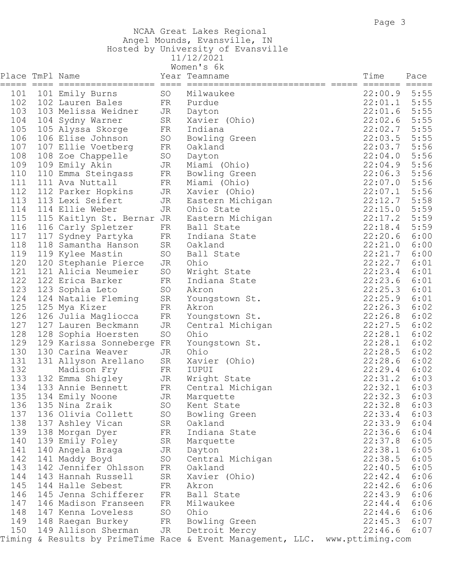## NCAA Great Lakes Regional Angel Mounds, Evansville, IN Hosted by University of Evansville 11/12/2021

|                 |                                      |    | Women's 6k                                                                   |                |      |
|-----------------|--------------------------------------|----|------------------------------------------------------------------------------|----------------|------|
| Place TmPl Name |                                      |    | Year Teamname                                                                | Time           | Pace |
|                 |                                      |    |                                                                              |                |      |
| 101             | 101 Emily Burns                      | SO | Milwaukee                                                                    | $22:00.9$ 5:55 |      |
| 102             | 102 Lauren Bales                     |    | FR Purdue                                                                    | 22:01.1        | 5:55 |
| 103             | 103 Melissa Weidner                  | JR | Dayton                                                                       | 22:01.6        | 5:55 |
| 104             | 104 Sydny Warner                     | SR | Xavier (Ohio)                                                                | 22:02.6        | 5:55 |
| 105             | 105 Alyssa Skorge                    | FR | Indiana                                                                      | 22:02.7        | 5:55 |
| 106             | 106 Elise Johnson                    | SO | Bowling Green                                                                | 22:03.5        | 5:55 |
| 107             | 107 Ellie Voetberg                   | FR | Oakland                                                                      | 22:03.7        | 5:56 |
| 108             | 108 Zoe Chappelle                    | SO | Dayton                                                                       | 22:04.0        | 5:56 |
| 109             | 109 Emily Akin                       | JR | Miami (Ohio)                                                                 | 22:04.9        | 5:56 |
| 110             | 110 Emma Steingass                   | FR | Bowling Green                                                                | 22:06.3        | 5:56 |
| 111             | 111 Ava Nuttall                      | FR | Miami (Ohio)                                                                 | 22:07.0        | 5:56 |
| 112             | 112 Parker Hopkins                   | JR | Xavier (Ohio)                                                                | 22:07.1        | 5:56 |
| 113             | 113 Lexi Seifert                     | JR | Eastern Michigan                                                             | 22:12.7        | 5:58 |
| 114             | 114 Ellie Weber                      | JR | Ohio State                                                                   | 22:15.0        | 5:59 |
| 115             | 115 Kaitlyn St. Bernar JR            |    | Eastern Michigan                                                             | 22:17.2        | 5:59 |
| 116             | 116 Carly Spletzer                   | FR | Ball State                                                                   | 22:18.4        | 5:59 |
| 117             | 117 Sydney Partyka                   | FR | Indiana State                                                                | 22:20.6        | 6:00 |
| 118             | 118 Samantha Hanson                  | SR | Oakland                                                                      | 22:21.0        | 6:00 |
| 119             | 119 Kylee Mastin                     | SO | Ball State                                                                   | 22:21.7        | 6:00 |
| 120             | 120 Stephanie Pierce                 | JR | Ohio                                                                         | 22:22.7        | 6:01 |
| 121             | 121 Alicia Neumeier                  | SO | Wright State                                                                 | 22:23.4        | 6:01 |
| 122             | 122 Erica Barker                     | FR | Indiana State                                                                | 22:23.6        | 6:01 |
| 123             | 123 Sophia Leto                      | SO | Akron                                                                        | 22:25.3        | 6:01 |
| 124             | 124 Natalie Fleming                  | SR | Youngstown St.                                                               | 22:25.9        | 6:01 |
| 125             | 125 Mya Kizer                        | FR | Akron                                                                        | 22:26.3        | 6:02 |
| 126             | 126 Julia Magliocca                  | FR | Youngstown St.                                                               | 22:26.8        | 6:02 |
| 127             | 127 Lauren Beckmann                  | JR | Central Michigan                                                             | 22:27.5        | 6:02 |
| 128             | 128 Sophia Hoersten                  | SO | Ohio                                                                         | 22:28.1        | 6:02 |
| 129             | 129 Karissa Sonneberge FR            |    | Youngstown St.                                                               | 22:28.1        | 6:02 |
| 130             | 130 Carina Weaver                    | JR | Ohio                                                                         | 22:28.5        | 6:02 |
| 131             | 131 Allyson Arellano                 | SR | Xavier (Ohio)                                                                | 22:28.6        | 6:02 |
| 132             | Madison Fry                          | FR | IUPUI                                                                        | 22:29.4        | 6:02 |
| 133             | 132 Emma Shigley                     | JR | Wright State                                                                 | 22:31.2        | 6:03 |
| 134             | 133 Annie Bennett                    | FR | Central Michigan                                                             | 22:32.1        | 6:03 |
|                 | 135 134 Emily Noone                  |    | JR Marquette                                                                 | $22:32.3$ 6:03 |      |
| 136             | 135 Nina Zraik                       | SO | Kent State                                                                   | $22:32.8$ 6:03 |      |
| 137             | 136 Olivia Collett                   | SO | Bowling Green                                                                | $22:33.4$ 6:03 |      |
| 138             | 137 Ashley Vican                     | SR | Oakland                                                                      | $22:33.9$ 6:04 |      |
| 139             | 138 Morgan Dyer                      | FR | Indiana State                                                                | $22:36.6$ 6:04 |      |
| 140             | 139 Emily Foley                      | SR | Marquette                                                                    | $22:37.8$ 6:05 |      |
| 141             | 140 Angela Braga                     | JR | Dayton                                                                       | $22:38.1$ 6:05 |      |
| 142             | 141 Maddy Boyd                       | SO | Central Michigan                                                             | $22:38.5$ 6:05 |      |
| 143             | 142 Jennifer Ohlsson                 | FR | Oakland                                                                      | $22:40.5$ 6:05 |      |
| 144             | 143 Hannah Russell                   | SR | Xavier (Ohio)                                                                | $22:42.4$ 6:06 |      |
| 145             | 144 Halle Sebest                     | FR | Akron                                                                        | $22:42.6$ 6:06 |      |
| 146             | 145 Jenna Schifferer                 | FR | Ball State                                                                   | $22:43.9$ 6:06 |      |
| 147             | 146 Madison Franseen                 |    | FR Milwaukee                                                                 | $22:44.4$ 6:06 |      |
| 148             | 147 Kenna Loveless                   | SO | Ohio                                                                         | $22:44.6$ 6:06 |      |
| 149             | 148 Raegan Burkey                    |    | FR Bowling Green                                                             | $22:45.3$ 6:07 |      |
| 150             | 149 Allison Sherman JR Detroit Mercy |    |                                                                              | $22:46.6$ 6:07 |      |
|                 |                                      |    | Timing & Results by PrimeTime Race & Event Management, LLC. www.pttiming.com |                |      |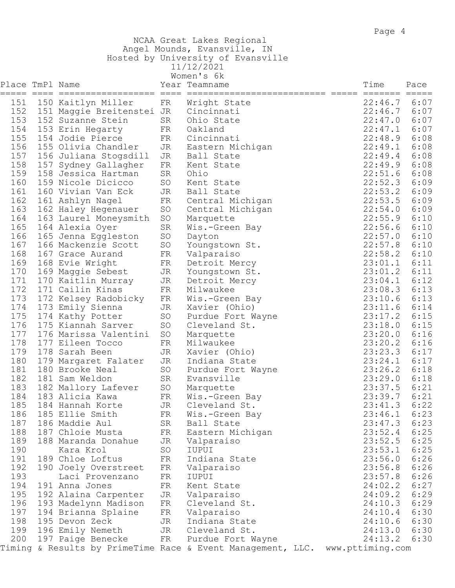NCAA Great Lakes Regional Angel Mounds, Evansville, IN

Hosted by University of Evansville

| 11/12/2021                             |
|----------------------------------------|
| $W \cap P \cap I \subseteq \mathbb{R}$ |

|                 |                        |            | women s ok                                                  |                  |                    |                         |
|-----------------|------------------------|------------|-------------------------------------------------------------|------------------|--------------------|-------------------------|
| Place TmPl Name |                        |            | Year Teamname                                               | Time             |                    | Pace                    |
| 151             | 150 Kaitlyn Miller     | FR         | Wright State                                                |                  | =======<br>22:46.7 | $=$ $=$ $=$ $=$<br>6:07 |
| 152             | 151 Maggie Breitenstei | JR         | Cincinnati                                                  |                  | 22:46.7            | 6:07                    |
| 153             | 152 Suzanne Stein      | SR         | Ohio State                                                  |                  | 22:47.0            | 6:07                    |
| 154             | 153 Erin Hegarty       | FR         | Oakland                                                     |                  | 22:47.1            | 6:07                    |
| 155             | 154 Jodie Pierce       |            | Cincinnati                                                  |                  | 22:48.9            | 6:08                    |
|                 |                        | FR         |                                                             |                  |                    |                         |
| 156             | 155 Olivia Chandler    | JR         | Eastern Michigan                                            |                  | 22:49.1            | 6:08                    |
| 157             | 156 Juliana Stogsdill  | JR         | Ball State                                                  |                  | 22:49.4            | 6:08                    |
| 158             | 157 Sydney Gallagher   | FR         | Kent State                                                  |                  | 22:49.9            | 6:08                    |
| 159             | 158 Jessica Hartman    | SR         | Ohio                                                        |                  | 22:51.6            | 6:08                    |
| 160             | 159 Nicole Dicicco     | SO         | Kent State                                                  |                  | 22:52.3            | 6:09                    |
| 161             | 160 Vivian Van Eck     | JR         | Ball State                                                  |                  | 22:53.2            | 6:09                    |
| 162             | 161 Ashlyn Nagel       | ${\rm FR}$ | Central Michigan                                            |                  | 22:53.5            | 6:09                    |
| 163             | 162 Haley Hegenauer    | SO         | Central Michigan                                            |                  | 22:54.0            | 6:09                    |
| 164             | 163 Laurel Moneysmith  | SO         | Marquette                                                   |                  | 22:55.9            | 6:10                    |
| 165             | 164 Alexia Oyer        | SR         | Wis.-Green Bay                                              |                  | 22:56.6            | 6:10                    |
| 166             | 165 Jenna Eggleston    | SO         | Dayton                                                      |                  | 22:57.0            | 6:10                    |
| 167             | 166 Mackenzie Scott    | SO         | Youngstown St.                                              |                  | 22:57.8            | 6:10                    |
| 168             | 167 Grace Aurand       | FR         | Valparaiso                                                  |                  | 22:58.2            | 6:10                    |
| 169             | 168 Evie Wright        | FR         | Detroit Mercy                                               |                  | 23:01.1            | 6:11                    |
| 170             | 169 Maggie Sebest      | JR         | Youngstown St.                                              |                  | 23:01.2            | 6:11                    |
| 171             | 170 Kaitlin Murray     | JR         | Detroit Mercy                                               |                  | 23:04.1            | 6:12                    |
| 172             | 171 Cailin Kinas       | FR         | Milwaukee                                                   |                  | 23:08.3            | 6:13                    |
| 173             | 172 Kelsey Radobicky   | FR         | Wis.-Green Bay                                              |                  | 23:10.6            | 6:13                    |
| 174             | 173 Emily Sienna       | JR         | Xavier (Ohio)                                               |                  | 23:11.6            | 6:14                    |
| 175             | 174 Kathy Potter       | SO         | Purdue Fort Wayne                                           |                  | 23:17.2            | 6:15                    |
| 176             | 175 Kiannah Sarver     | SO         | Cleveland St.                                               |                  | 23:18.0            | 6:15                    |
| 177             | 176 Marissa Valentini  | $\rm SO$   | Marquette                                                   |                  | 23:20.0            | 6:16                    |
| 178             | 177 Eileen Tocco       | FR         | Milwaukee                                                   |                  | 23:20.2            | 6:16                    |
| 179             | 178 Sarah Been         | JR         | Xavier (Ohio)                                               |                  | 23:23.3            | 6:17                    |
| 180             | 179 Margaret Falater   | JR         | Indiana State                                               |                  | 23:24.1            | 6:17                    |
| 181             | 180 Brooke Neal        | SO         | Purdue Fort Wayne                                           |                  | 23:26.2            | 6:18                    |
| 182             | 181 Sam Weldon         | SR         | Evansville                                                  |                  | 23:29.0            | 6:18                    |
| 183             | 182 Mallory Lafever    | SO         | Marquette                                                   |                  | 23:37.5            | 6:21                    |
| 184             | 183 Alicia Kawa        | FR         | Wis.-Green Bay                                              |                  | 23:39.7            | 6:21                    |
| 185             | 184 Hannah Korte       | JR         | Cleveland St.                                               |                  | 23:41.3            | 6:22                    |
| 186             | 185 Ellie Smith        | FR         | Wis.-Green Bay                                              |                  | 23:46.1            | 6:23                    |
| 187             | 186 Maddie Aul         | SR         | Ball State                                                  |                  | 23:47.3            | 6:23                    |
| 188             | 187 Chloie Musta       | FR         | Eastern Michigan                                            |                  | 23:52.4            | 6:25                    |
| 189             | 188 Maranda Donahue    | JR         | Valparaiso                                                  |                  | 23:52.5            | 6:25                    |
| 190             | Kara Krol              | SO         | IUPUI                                                       |                  | 23:53.1            | 6:25                    |
| 191             | 189 Chloe Loftus       | FR         | Indiana State                                               |                  | 23:56.0            | 6:26                    |
| 192             | 190 Joely Overstreet   | FR         | Valparaiso                                                  |                  | 23:56.8            | 6:26                    |
| 193             | Laci Provenzano        | FR         | IUPUI                                                       |                  | 23:57.8            | 6:26                    |
| 194             | 191 Anna Jones         | FR         | Kent State                                                  |                  | 24:02.2            | 6:27                    |
| 195             | 192 Alaina Carpenter   | JR         | Valparaiso                                                  |                  | 24:09.2            | 6:29                    |
| 196             | 193 Madelynn Madison   | FR         | Cleveland St.                                               |                  | 24:10.3            | 6:29                    |
| 197             | 194 Brianna Splaine    | FR         | Valparaiso                                                  |                  | 24:10.4            | 6:30                    |
| 198             | 195 Devon Zeck         | JR         | Indiana State                                               |                  | 24:10.6            | 6:30                    |
| 199             | 196 Emily Nemeth       | JR         | Cleveland St.                                               |                  | 24:13.0            | 6:30                    |
| 200             | 197 Paige Benecke      | FR         | Purdue Fort Wayne                                           |                  | 24:13.2            | 6:30                    |
|                 |                        |            | Timing & Results by PrimeTime Race & Event Management, LLC. | www.pttiming.com |                    |                         |
|                 |                        |            |                                                             |                  |                    |                         |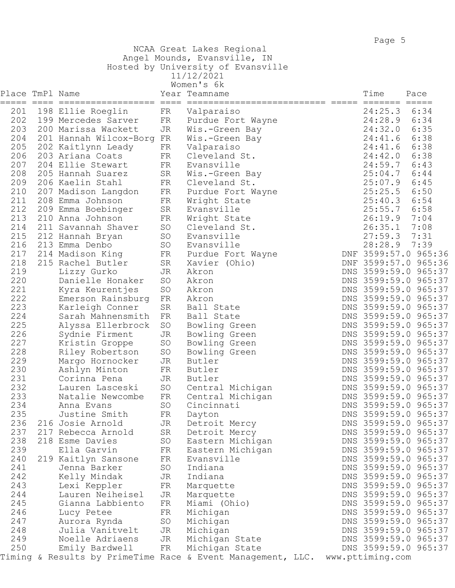## NCAA Great Lakes Regional

Angel Mounds, Evansville, IN

|  | Hosted by University of Evansville |  |
|--|------------------------------------|--|
|  |                                    |  |

11/12/2021

|                 |                                          |            | Women's 6k                                                  |                    |                                              |
|-----------------|------------------------------------------|------------|-------------------------------------------------------------|--------------------|----------------------------------------------|
| Place TmPl Name |                                          |            | Year Teamname                                               | Time               | Pace                                         |
|                 |                                          |            |                                                             | 24:25.3 6:34       |                                              |
| 201<br>202      | 198 Ellie Roeglin<br>199 Mercedes Sarver | FR         | Valparaiso                                                  | 24:28.9 6:34       |                                              |
| 203             | 200 Marissa Wackett                      | FR         | Purdue Fort Wayne                                           | 24:32.0            | 6:35                                         |
| 204             |                                          | JR         | Wis.-Green Bay                                              |                    |                                              |
|                 | 201 Hannah Wilcox-Borg FR                |            | Wis.-Green Bay                                              | 24:41.6 6:38       |                                              |
| 205             | 202 Kaitlynn Leady                       | FR         | Valparaiso                                                  | 24:41.6 6:38       |                                              |
| 206             | 203 Ariana Coats                         | FR         | Cleveland St.                                               | 24:42.0 6:38       |                                              |
| 207             | 204 Ellie Stewart                        | FR         | Evansville                                                  | 24:59.7            | 6:43                                         |
| 208<br>209      | 205 Hannah Suarez                        | SR         | Wis.-Green Bay                                              | 25:04.7<br>25:07.9 | 6:44                                         |
| 210             | 206 Kaelin Stahl                         | FR         | Cleveland St.                                               | $25:25.5$ 6:50     | 6:45                                         |
| 211             | 207 Madison Langdon                      | FR         | Purdue Fort Wayne                                           |                    |                                              |
| 212             | 208 Emma Johnson                         | FR         | Wright State                                                | 25:40.3 6:54       |                                              |
|                 | 209 Emma Boebinger                       | SR         | Evansville                                                  | 25:55.7            | 6:58                                         |
| 213             | 210 Anna Johnson                         | FR         | Wright State                                                | 26:19.9 7:04       |                                              |
| 214             | 211 Savannah Shaver                      | SO         | Cleveland St.                                               | 26:35.1            | 7:08                                         |
| 215             | 212 Hannah Bryan                         | SO         | Evansville                                                  | 27:59.37:31        |                                              |
| 216             | 213 Emma Denbo                           | SO         | Evansville                                                  | 28:28.9 7:39       |                                              |
| 217             | 214 Madison King                         | FR         | Purdue Fort Wayne                                           |                    | DNF 3599:57.0 965:36                         |
| 218             | 215 Rachel Butler                        | SR         | Xavier (Ohio)                                               |                    | DNF 3599:57.0 965:36                         |
| 219<br>220      | Lizzy Gurko                              | JR         | Akron                                                       |                    | DNS 3599:59.0 965:37<br>DNS 3599:59.0 965:37 |
| 221             | Danielle Honaker                         | SO         | Akron                                                       |                    |                                              |
| 222             | Kyra Keurentjes                          | SO         | Akron                                                       |                    | DNS 3599:59.0 965:37<br>DNS 3599:59.0 965:37 |
| 223             | Emerson Rainsburg                        | FR<br>SR   | Akron<br>Ball State                                         |                    | DNS 3599:59.0 965:37                         |
| 224             | Karleigh Conner<br>Sarah Mahnensmith     | FR         | Ball State                                                  |                    | DNS 3599:59.0 965:37                         |
| 225             | Alyssa Ellerbrock                        | SO         | Bowling Green                                               |                    | DNS 3599:59.0 965:37                         |
| 226             | Sydnie Firment                           | JR         | Bowling Green                                               |                    | DNS 3599:59.0 965:37                         |
| 227             | Kristin Groppe                           | SO         | Bowling Green                                               |                    | DNS 3599:59.0 965:37                         |
| 228             | Riley Robertson                          | SO         | Bowling Green                                               |                    | DNS 3599:59.0 965:37                         |
| 229             | Margo Hornocker                          | JR         | Butler                                                      |                    | DNS 3599:59.0 965:37                         |
| 230             | Ashlyn Minton                            | FR         | Butler                                                      |                    | DNS 3599:59.0 965:37                         |
| 231             | Corinna Pena                             | JR         | Butler                                                      |                    | DNS 3599:59.0 965:37                         |
| 232             | Lauren Lasceski                          | SO         | Central Michigan                                            |                    | DNS 3599:59.0 965:37                         |
| 233             | Natalie Newcombe                         | FR         | Central Michigan                                            |                    | DNS 3599:59.0 965:37                         |
| 234             | Anna Evans                               | SO         | Cincinnati                                                  |                    | DNS 3599:59.0 965:37                         |
| 235             | Justine Smith                            | ${\rm FR}$ | Dayton                                                      |                    | DNS 3599:59.0 965:37                         |
| 236             | 216 Josie Arnold                         | JR         | Detroit Mercy                                               |                    | DNS 3599:59.0 965:37                         |
| 237             | 217 Rebecca Arnold                       | SR         | Detroit Mercy                                               |                    | DNS 3599:59.0 965:37                         |
| 238             | 218 Esme Davies                          | SO         | Eastern Michigan                                            |                    | DNS 3599:59.0 965:37                         |
| 239             | Ella Garvin                              | FR         | Eastern Michigan                                            |                    | DNS 3599:59.0 965:37                         |
| 240             | 219 Kaitlyn Sansone                      | FR         | Evansville                                                  |                    | DNS 3599:59.0 965:37                         |
| 241             | Jenna Barker                             | SO         | Indiana                                                     |                    | DNS 3599:59.0 965:37                         |
| 242             | Kelly Mindak                             | JR         | Indiana                                                     |                    | DNS 3599:59.0 965:37                         |
| 243             | Lexi Keppler                             | FR         | Marquette                                                   |                    | DNS 3599:59.0 965:37                         |
| 244             | Lauren Neiheisel                         | JR         | Marquette                                                   |                    | DNS 3599:59.0 965:37                         |
| 245             | Gianna Labbiento                         | FR         | Miami (Ohio)                                                |                    | DNS 3599:59.0 965:37                         |
| 246             | Lucy Petee                               | FR         | Michigan                                                    |                    | DNS 3599:59.0 965:37                         |
| 247             | Aurora Rynda                             | SO         | Michigan                                                    |                    | DNS 3599:59.0 965:37                         |
| 248             | Julia Vanitvelt                          | JR         | Michigan                                                    |                    | DNS 3599:59.0 965:37                         |
| 249             | Noelle Adriaens                          | JR         | Michigan State                                              |                    | DNS 3599:59.0 965:37                         |
| 250             | Emily Bardwell                           | FR         | Michigan State                                              | www.pttiming.com   | DNS 3599:59.0 965:37                         |
|                 |                                          |            | Timing & Results by PrimeTime Race & Event Management, LLC. |                    |                                              |